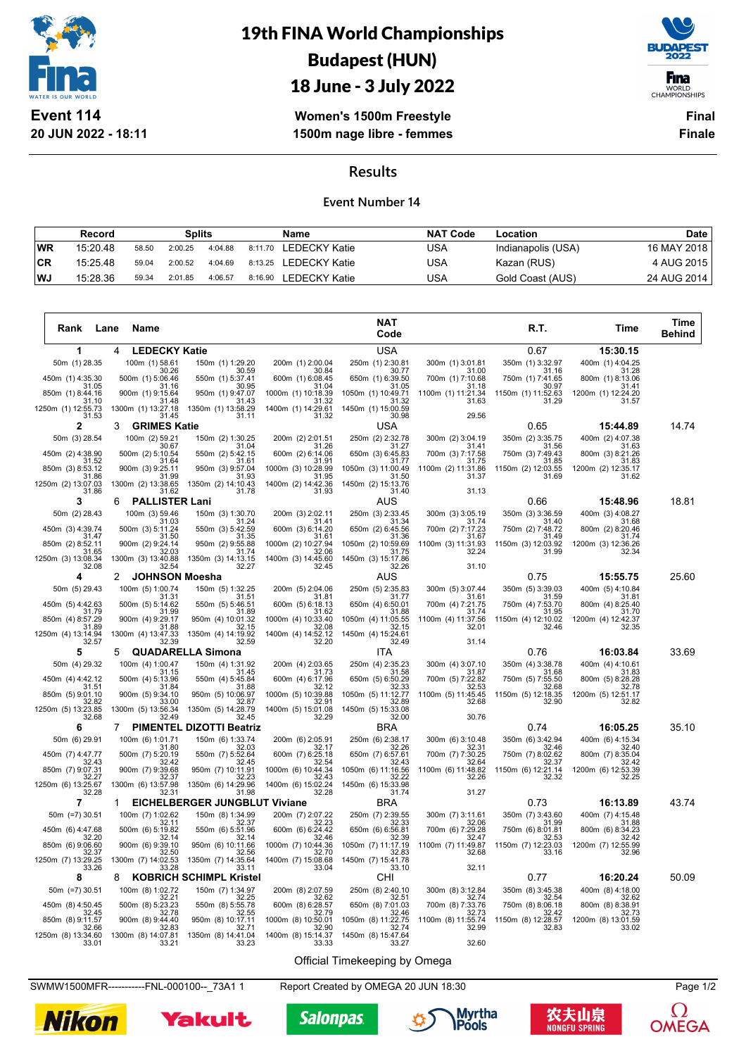

# 19th FINA World Championships Budapest (HUN)



18 June - 3 July 2022

**Women's 1500m Freestyle 1500m nage libre - femmes**

**Final Finale**

#### **Results**

#### **Event Number 14**

|            | Record   |       | Splits  |         | <b>Name</b> |                       | <b>NAT Code</b> | Location           | Date        |
|------------|----------|-------|---------|---------|-------------|-----------------------|-----------------|--------------------|-------------|
| <b>IWR</b> | 15:20.48 | 58.50 | 2:00.25 | 4:04.88 |             | 8:11.70 LEDECKY Katie | USA             | Indianapolis (USA) | 16 MAY 2018 |
| CR         | 15:25.48 | 59.04 | 2:00.52 | 4:04.69 |             | 8:13.25 LEDECKY Katie | USA             | Kazan (RUS)        | 4 AUG 2015  |
| <b>WJ</b>  | 15:28.36 | 59.34 | 2:01.85 | 4:06.57 | 8:16.90     | LEDECKY Katie         | JSA             | Gold Coast (AUS)   | 24 AUG 2014 |

| 1<br><b>LEDECKY Katie</b><br>USA<br>0.67<br>15:30.15<br>4<br>250m (1) 2:30.81<br>50m (1) 28.35<br>100m (1) 58.61<br>150m (1) 1:29.20<br>200m (1) 2:00.04<br>300m (1) 3:01.81<br>350m (1) 3:32.97<br>400m (1) 4:04.25<br>30.26<br>30.59<br>30.84<br>30.77<br>31.00<br>31.16<br>31.28<br>700m (1) 7:10.68<br>450m (1) 4:35.30<br>500m (1) 5:06.46<br>550m (1) 5:37.41<br>600m (1) 6:08.45<br>650m (1) 6:39.50<br>750m (1) 7:41.65<br>800m (1) 8:13.06<br>31.05<br>31.16<br>30.95<br>31.04<br>31.05<br>31.18<br>30.97<br>31.41<br>850m (1) 8:44.16<br>900m (1) 9:15.64<br>950m (1) 9:47.07<br>1000m (1) 10:18.39<br>1050m (1) 10:49.71<br>1100m (1) 11:21.34<br>1150m (1) 11:52.63<br>1200m (1) 12:24.20<br>31.10<br>31.48<br>31.43<br>31.32<br>31.32<br>31.63<br>31.29<br>31.57<br>1400m (1) 14:29.61<br>1250m (1) 12:55.73<br>1300m (1) 13:27.18<br>1350m (1) 13:58.29<br>1450m (1) 15:00.59<br>31.53<br>31.45<br>31.11<br>31.32<br>30.98<br>29.56<br>$\mathbf 2$<br>USA<br>0.65<br>14.74<br>3<br><b>GRIMES Katie</b><br>15:44.89<br>250m (2) 2:32.78<br>50m (3) 28.54<br>100m (2) 59.21<br>150m (2) 1:30.25<br>200m (2) 2:01.51<br>300m (2) 3:04.19<br>350m (2) 3:35.75<br>400m (2) 4:07.38<br>30.67<br>31.41<br>31.56<br>31.04<br>31 26<br>31 27<br>31.63<br>450m (2) 4:38.90<br>500m (2) 5:10.54<br>550m (2) 5:42.15<br>600m (2) 6:14.06<br>650m (3) 6:45.83<br>700m (3) 7:17.58<br>750m (3) 7:49.43<br>800m (3) 8:21.26<br>31.64<br>31.61<br>31.91<br>31.77<br>31.75<br>31.85<br>31.83<br>31.52<br>850m (3) 8:53.12<br>900m (3) 9:25.11<br>950m (3) 9:57.04<br>1000m (3) 10:28.99<br>1050m (3) 11:00.49<br>1100m (2) 11:31.86<br>1150m (2) 12:03.55<br>1200m (2) 12:35.17<br>31.99<br>31.93<br>31.50<br>31.37<br>31.69<br>31.86<br>31.95<br>31.62<br>1250m (2) 13:07.03<br>1300m (2) 13:38.65<br>1350m (2) 14:10.43<br>1400m (2) 14:42.36<br>1450m (2) 15:13.76<br>31.78<br>31.93<br>31.13<br>31.62<br>31.40<br>31.86<br>3<br>18.81<br><b>PALLISTER Lani</b><br>AUS<br>0.66<br>15:48.96<br>6<br>50m (2) 28.43<br>100m (3) 59.46<br>150m (3) 1:30.70<br>200m (3) 2:02.11<br>250m (3) 2:33.45<br>400m (3) 4:08.27<br>300m (3) 3:05.19<br>350m (3) 3:36.59<br>31.03<br>31.24<br>31.34<br>31.40<br>31.41<br>31.74<br>31.68<br>450m (3) 4:39.74<br>500m (3) 5:11.24<br>550m (3) 5:42.59<br>600m (3) 6:14.20<br>650m (2) 6:45.56<br>700m (2) 7:17.23<br>750m (2) 7:48.72<br>800m (2) 8:20.46<br>31.74<br>31.47<br>31.50<br>31.35<br>31.61<br>31.36<br>31.67<br>31.49<br>900m (2) 9:24.14<br>950m (2) 9:55.88<br>850m (2) 8:52.11<br>1000m (2) 10:27.94<br>1050m (2) 10:59.69<br>1100m (3) 11:31.93<br>1150m (3) 12:03.92<br>1200m (3) 12:36.26<br>31.74<br>31.65<br>32.03<br>32.06<br>31.75<br>32.24<br>31.99<br>32.34<br>1250m (3) 13:08.34<br>1300m (3) 13:40.88<br>1350m (3) 14:13.15<br>1400m (3) 14:45.60<br>1450m (3) 15:17.86<br>31.10<br>32.08<br>32.54<br>32.27<br>32.45<br>32.26<br>0.75<br>25.60<br>4<br><b>JOHNSON Moesha</b><br>AUS<br>15:55.75<br>2<br>50m (5) 29.43<br>100m (5) 1:00.74<br>150m (5) 1:32.25<br>200m (5) 2:04.06<br>250m (5) 2:35.83<br>300m (5) 3:07.44<br>350m (5) 3:39.03<br>400m (5) 4:10.84<br>31.31<br>31.51<br>31.81<br>31.77<br>31.61<br>31.59<br>31.81<br>450m (5) 4:42.63<br>500m (5) 5:14.62<br>550m (5) 5:46.51<br>650m (4) 6:50.01<br>700m (4) 7:21.75<br>800m (4) 8:25.40<br>600m (5) 6:18.13<br>750m (4) 7:53.70<br>31.79<br>31.99<br>31.89<br>31.62<br>31.88<br>31.74<br>31.95<br>31.70<br>850m (4) 8:57.29<br>900m (4) 9:29.17<br>950m (4) 10:01.32<br>1000m (4) 10:33.40<br>1100m (4) 11:37.56<br>1150m (4) 12:10.02<br>1200m (4) 12:42.37<br>1050m (4) 11:05.55<br>31.88<br>32.15<br>32.08<br>32.15<br>32.01<br>31.89<br>32.46<br>32.35<br>1250m (4) 13:14.94<br>1300m (4) 13:47.33<br>1350m (4) 14:19.92<br>1400m (4) 14:52.12<br>1450m (4) 15:24.61<br>32.57<br>32.39<br>32.59<br>32.20<br>32.49<br>31.14<br>0.76<br>16:03.84<br>33.69<br>5<br>5<br><b>QUADARELLA Simona</b><br>ITA<br>100m (4) 1:00.47<br>200m (4) 2:03.65<br>250m (4) 2:35.23<br>400m (4) 4:10.61<br>50m (4) 29.32<br>150m (4) 1:31.92<br>300m (4) 3:07.10<br>350m (4) 3:38.78<br>31.45<br>31.15<br>31.73<br>31.58<br>31.87<br>31.68<br>31.83<br>450m (4) 4:42.12<br>550m (4) 5:45.84<br>600m (4) 6:17.96<br>650m (5) 6:50.29<br>700m (5) 7:22.82<br>750m (5) 7:55.50<br>800m (5) 8:28.28<br>500m (4) 5:13.96<br>32.53<br>31.51<br>31.84<br>31.88<br>32.12<br>32.33<br>32.68<br>32.78<br>850m (5) 9:01.10<br>900m (5) 9:34.10<br>950m (5) 10:06.97<br>1000m (5) 10:39.88<br>1100m (5) 11:45.45<br>1150m (5) 12:18.35<br>1200m (5) 12:51.17<br>1050m (5) 11:12.77<br>32.82<br>33.00<br>32.87<br>32.91<br>32.89<br>32.68<br>32.90<br>32.82<br>1250m (5) 13:23.85<br>1300m (5) 13:56.34<br>1400m (5) 15:01.08<br>1450m (5) 15:33.08<br>1350m (5) 14:28.79<br>32.68<br>32.49<br>32.45<br>32.29<br>32.00<br>30.76<br><b>PIMENTEL DIZOTTI Beatriz</b><br>35.10<br>6<br>$\mathbf{7}$<br><b>BRA</b><br>0.74<br>16:05.25<br>150m (6) 1:33.74<br>50m (6) 29.91<br>200m (6) 2:05.91<br>250m (6) 2:38.17<br>300m (6) 3:10.48<br>350m (6) 3:42.94<br>400m (6) 4:15.34<br>100m (6) 1:01.71<br>32.03<br>32.17<br>32.31<br>32.46<br>32.40<br>31.80<br>32.26<br>450m (7) 4:47.77<br>500m (7) 5:20.19<br>550m (7) 5:52.64<br>600m (7) 6:25.18<br>650m (7) 6:57.61<br>700m (7) 7:30.25<br>750m (7) 8:02.62<br>800m (7) 8:35.04<br>32.42<br>32.45<br>32.42<br>32.43<br>32.54<br>32 43<br>32.64<br>32.37<br>850m (7) 9:07.31<br>900m (7) 9:39.68<br>950m (7) 10:11.91<br>1000m (6) 10:44.34<br>1050m (6) 11:16.56<br>1100m (6) 11:48.82<br>1150m (6) 12:21.14<br>1200m (6) 12:53.39<br>32.43<br>32.27<br>32.37<br>32.23<br>32.22<br>32.32<br>32.25<br>32.26<br>1250m (6) 13:25.67<br>1300m (6) 13:57.98<br>1350m (6) 14:29.96<br>1400m (6) 15:02.24<br>1450m (6) 15:33.98<br>32.28<br>31.27<br>32.31<br>31.98<br>32.28<br>31.74<br>$\overline{7}$<br><b>EICHELBERGER JUNGBLUT Viviane</b><br><b>BRA</b><br>0.73<br>43.74<br>16:13.89<br>1<br>50m (=7) 30.51<br>100m (7) 1:02.62<br>150m (8) 1:34.99<br>200m (7) 2:07.22<br>250m (7) 2:39.55<br>300m (7) 3:11.61<br>350m (7) 3:43.60<br>400m (7) 4:15.48<br>32.37<br>32.23<br>32.11<br>32.33<br>32.06<br>31.99<br>31.88<br>450m (6) 4:47.68<br>700m (6) 7:29.28<br>500m (6) 5:19.82<br>550m (6) 5:51.96<br>600m (6) 6:24.42<br>650m (6) 6:56.81<br>750m (6) 8:01.81<br>800m (6) 8:34.23<br>32.42<br>32.14<br>32.14<br>32.46<br>32.47<br>32.53<br>32.20<br>32.39<br>1100m (7) 11:49.87<br>1150m (7) 12:23.03<br>850m (6) 9:06.60<br>900m (6) 9:39.10<br>950m (6) 10:11.66<br>1000m (7) 10:44.36<br>1050m (7) 11:17.19<br>1200m (7) 12:55.99<br>32.56<br>32.37<br>32.50<br>32.70<br>32.83<br>32.68<br>33.16<br>32.96<br>1400m (7) 15:08.68<br>1250m (7) 13:29.25<br>1300m (7) 14:02.53<br>1350m (7) 14:35.64<br>1450m (7) 15:41.78<br>32.11<br>33.11<br>33.26<br>33.28<br>33.04<br>33.10<br>8<br><b>KOBRICH SCHIMPL Kristel</b><br>CHI<br>0.77<br>16:20.24<br>50.09<br>8<br>150m (7) 1:34.97<br>50m (=7) 30.51<br>100m (8) 1:02.72<br>200m (8) 2:07.59<br>250m (8) 2:40.10<br>300m (8) 3:12.84<br>350m (8) 3:45.38<br>400m (8) 4:18.00<br>32.21<br>32.25<br>32.62<br>32.51<br>32.74<br>32.54<br>32.62<br>450m (8) 4:50.45<br>500m (8) 5:23.23<br>550m (8) 5:55.78<br>600m (8) 6:28.57<br>650m (8) 7:01.03<br>700m (8) 7:33.76<br>750m (8) 8:06.18<br>800m (8) 8:38.91<br>32.45<br>32.78<br>32.55<br>32.79<br>32.46<br>32.73<br>32.42<br>32.73 | Rank             | <b>Name</b><br>Lane |                   |                    | <b>NAT</b><br>Code |                    | R.T.               | Time               | Time<br><b>Behind</b> |
|-----------------------------------------------------------------------------------------------------------------------------------------------------------------------------------------------------------------------------------------------------------------------------------------------------------------------------------------------------------------------------------------------------------------------------------------------------------------------------------------------------------------------------------------------------------------------------------------------------------------------------------------------------------------------------------------------------------------------------------------------------------------------------------------------------------------------------------------------------------------------------------------------------------------------------------------------------------------------------------------------------------------------------------------------------------------------------------------------------------------------------------------------------------------------------------------------------------------------------------------------------------------------------------------------------------------------------------------------------------------------------------------------------------------------------------------------------------------------------------------------------------------------------------------------------------------------------------------------------------------------------------------------------------------------------------------------------------------------------------------------------------------------------------------------------------------------------------------------------------------------------------------------------------------------------------------------------------------------------------------------------------------------------------------------------------------------------------------------------------------------------------------------------------------------------------------------------------------------------------------------------------------------------------------------------------------------------------------------------------------------------------------------------------------------------------------------------------------------------------------------------------------------------------------------------------------------------------------------------------------------------------------------------------------------------------------------------------------------------------------------------------------------------------------------------------------------------------------------------------------------------------------------------------------------------------------------------------------------------------------------------------------------------------------------------------------------------------------------------------------------------------------------------------------------------------------------------------------------------------------------------------------------------------------------------------------------------------------------------------------------------------------------------------------------------------------------------------------------------------------------------------------------------------------------------------------------------------------------------------------------------------------------------------------------------------------------------------------------------------------------------------------------------------------------------------------------------------------------------------------------------------------------------------------------------------------------------------------------------------------------------------------------------------------------------------------------------------------------------------------------------------------------------------------------------------------------------------------------------------------------------------------------------------------------------------------------------------------------------------------------------------------------------------------------------------------------------------------------------------------------------------------------------------------------------------------------------------------------------------------------------------------------------------------------------------------------------------------------------------------------------------------------------------------------------------------------------------------------------------------------------------------------------------------------------------------------------------------------------------------------------------------------------------------------------------------------------------------------------------------------------------------------------------------------------------------------------------------------------------------------------------------------------------------------------------------------------------------------------------------------------------------------------------------------------------------------------------------------------------------------------------------------------------------------------------------------------------------------------------------------------------------------------------------------------------------------------------------------------------------------------------------------------------------------------------------------------------------------------------------------------------------------------------------------------------------------------------------------------------------------------------------------------------------------------------------------------------------------------------------------------------------------------------------------------------------------------------------------------------------------------------------------------------------------------------------------------------------------------------------------------------------------------------------------------------------------------------------------------------------------------------------------------------------------------------------------------------------------------------------------------------------------------------------------------------------------------------------------------------------------------------------------------------------------------------------------------------------------------------------------------------------------------------------------------------------------------------------------------------------------------------------------------------------------------------------------------------------------------------------------------------------------------------------------------------------------------------------------------------------------------------------------------------------------------------------------------------------------------------------------------------------|------------------|---------------------|-------------------|--------------------|--------------------|--------------------|--------------------|--------------------|-----------------------|
|                                                                                                                                                                                                                                                                                                                                                                                                                                                                                                                                                                                                                                                                                                                                                                                                                                                                                                                                                                                                                                                                                                                                                                                                                                                                                                                                                                                                                                                                                                                                                                                                                                                                                                                                                                                                                                                                                                                                                                                                                                                                                                                                                                                                                                                                                                                                                                                                                                                                                                                                                                                                                                                                                                                                                                                                                                                                                                                                                                                                                                                                                                                                                                                                                                                                                                                                                                                                                                                                                                                                                                                                                                                                                                                                                                                                                                                                                                                                                                                                                                                                                                                                                                                                                                                                                                                                                                                                                                                                                                                                                                                                                                                                                                                                                                                                                                                                                                                                                                                                                                                                                                                                                                                                                                                                                                                                                                                                                                                                                                                                                                                                                                                                                                                                                                                                                                                                                                                                                                                                                                                                                                                                                                                                                                                                                                                                                                                                                                                                                                                                                                                                                                                                                                                                                                                                                                                                                                                                                                                                                                                                                                                                                                                                                                                                                                                                                                                         |                  |                     |                   |                    |                    |                    |                    |                    |                       |
|                                                                                                                                                                                                                                                                                                                                                                                                                                                                                                                                                                                                                                                                                                                                                                                                                                                                                                                                                                                                                                                                                                                                                                                                                                                                                                                                                                                                                                                                                                                                                                                                                                                                                                                                                                                                                                                                                                                                                                                                                                                                                                                                                                                                                                                                                                                                                                                                                                                                                                                                                                                                                                                                                                                                                                                                                                                                                                                                                                                                                                                                                                                                                                                                                                                                                                                                                                                                                                                                                                                                                                                                                                                                                                                                                                                                                                                                                                                                                                                                                                                                                                                                                                                                                                                                                                                                                                                                                                                                                                                                                                                                                                                                                                                                                                                                                                                                                                                                                                                                                                                                                                                                                                                                                                                                                                                                                                                                                                                                                                                                                                                                                                                                                                                                                                                                                                                                                                                                                                                                                                                                                                                                                                                                                                                                                                                                                                                                                                                                                                                                                                                                                                                                                                                                                                                                                                                                                                                                                                                                                                                                                                                                                                                                                                                                                                                                                                                         |                  |                     |                   |                    |                    |                    |                    |                    |                       |
|                                                                                                                                                                                                                                                                                                                                                                                                                                                                                                                                                                                                                                                                                                                                                                                                                                                                                                                                                                                                                                                                                                                                                                                                                                                                                                                                                                                                                                                                                                                                                                                                                                                                                                                                                                                                                                                                                                                                                                                                                                                                                                                                                                                                                                                                                                                                                                                                                                                                                                                                                                                                                                                                                                                                                                                                                                                                                                                                                                                                                                                                                                                                                                                                                                                                                                                                                                                                                                                                                                                                                                                                                                                                                                                                                                                                                                                                                                                                                                                                                                                                                                                                                                                                                                                                                                                                                                                                                                                                                                                                                                                                                                                                                                                                                                                                                                                                                                                                                                                                                                                                                                                                                                                                                                                                                                                                                                                                                                                                                                                                                                                                                                                                                                                                                                                                                                                                                                                                                                                                                                                                                                                                                                                                                                                                                                                                                                                                                                                                                                                                                                                                                                                                                                                                                                                                                                                                                                                                                                                                                                                                                                                                                                                                                                                                                                                                                                                         |                  |                     |                   |                    |                    |                    |                    |                    |                       |
|                                                                                                                                                                                                                                                                                                                                                                                                                                                                                                                                                                                                                                                                                                                                                                                                                                                                                                                                                                                                                                                                                                                                                                                                                                                                                                                                                                                                                                                                                                                                                                                                                                                                                                                                                                                                                                                                                                                                                                                                                                                                                                                                                                                                                                                                                                                                                                                                                                                                                                                                                                                                                                                                                                                                                                                                                                                                                                                                                                                                                                                                                                                                                                                                                                                                                                                                                                                                                                                                                                                                                                                                                                                                                                                                                                                                                                                                                                                                                                                                                                                                                                                                                                                                                                                                                                                                                                                                                                                                                                                                                                                                                                                                                                                                                                                                                                                                                                                                                                                                                                                                                                                                                                                                                                                                                                                                                                                                                                                                                                                                                                                                                                                                                                                                                                                                                                                                                                                                                                                                                                                                                                                                                                                                                                                                                                                                                                                                                                                                                                                                                                                                                                                                                                                                                                                                                                                                                                                                                                                                                                                                                                                                                                                                                                                                                                                                                                                         |                  |                     |                   |                    |                    |                    |                    |                    |                       |
|                                                                                                                                                                                                                                                                                                                                                                                                                                                                                                                                                                                                                                                                                                                                                                                                                                                                                                                                                                                                                                                                                                                                                                                                                                                                                                                                                                                                                                                                                                                                                                                                                                                                                                                                                                                                                                                                                                                                                                                                                                                                                                                                                                                                                                                                                                                                                                                                                                                                                                                                                                                                                                                                                                                                                                                                                                                                                                                                                                                                                                                                                                                                                                                                                                                                                                                                                                                                                                                                                                                                                                                                                                                                                                                                                                                                                                                                                                                                                                                                                                                                                                                                                                                                                                                                                                                                                                                                                                                                                                                                                                                                                                                                                                                                                                                                                                                                                                                                                                                                                                                                                                                                                                                                                                                                                                                                                                                                                                                                                                                                                                                                                                                                                                                                                                                                                                                                                                                                                                                                                                                                                                                                                                                                                                                                                                                                                                                                                                                                                                                                                                                                                                                                                                                                                                                                                                                                                                                                                                                                                                                                                                                                                                                                                                                                                                                                                                                         |                  |                     |                   |                    |                    |                    |                    |                    |                       |
|                                                                                                                                                                                                                                                                                                                                                                                                                                                                                                                                                                                                                                                                                                                                                                                                                                                                                                                                                                                                                                                                                                                                                                                                                                                                                                                                                                                                                                                                                                                                                                                                                                                                                                                                                                                                                                                                                                                                                                                                                                                                                                                                                                                                                                                                                                                                                                                                                                                                                                                                                                                                                                                                                                                                                                                                                                                                                                                                                                                                                                                                                                                                                                                                                                                                                                                                                                                                                                                                                                                                                                                                                                                                                                                                                                                                                                                                                                                                                                                                                                                                                                                                                                                                                                                                                                                                                                                                                                                                                                                                                                                                                                                                                                                                                                                                                                                                                                                                                                                                                                                                                                                                                                                                                                                                                                                                                                                                                                                                                                                                                                                                                                                                                                                                                                                                                                                                                                                                                                                                                                                                                                                                                                                                                                                                                                                                                                                                                                                                                                                                                                                                                                                                                                                                                                                                                                                                                                                                                                                                                                                                                                                                                                                                                                                                                                                                                                                         |                  |                     |                   |                    |                    |                    |                    |                    |                       |
|                                                                                                                                                                                                                                                                                                                                                                                                                                                                                                                                                                                                                                                                                                                                                                                                                                                                                                                                                                                                                                                                                                                                                                                                                                                                                                                                                                                                                                                                                                                                                                                                                                                                                                                                                                                                                                                                                                                                                                                                                                                                                                                                                                                                                                                                                                                                                                                                                                                                                                                                                                                                                                                                                                                                                                                                                                                                                                                                                                                                                                                                                                                                                                                                                                                                                                                                                                                                                                                                                                                                                                                                                                                                                                                                                                                                                                                                                                                                                                                                                                                                                                                                                                                                                                                                                                                                                                                                                                                                                                                                                                                                                                                                                                                                                                                                                                                                                                                                                                                                                                                                                                                                                                                                                                                                                                                                                                                                                                                                                                                                                                                                                                                                                                                                                                                                                                                                                                                                                                                                                                                                                                                                                                                                                                                                                                                                                                                                                                                                                                                                                                                                                                                                                                                                                                                                                                                                                                                                                                                                                                                                                                                                                                                                                                                                                                                                                                                         |                  |                     |                   |                    |                    |                    |                    |                    |                       |
|                                                                                                                                                                                                                                                                                                                                                                                                                                                                                                                                                                                                                                                                                                                                                                                                                                                                                                                                                                                                                                                                                                                                                                                                                                                                                                                                                                                                                                                                                                                                                                                                                                                                                                                                                                                                                                                                                                                                                                                                                                                                                                                                                                                                                                                                                                                                                                                                                                                                                                                                                                                                                                                                                                                                                                                                                                                                                                                                                                                                                                                                                                                                                                                                                                                                                                                                                                                                                                                                                                                                                                                                                                                                                                                                                                                                                                                                                                                                                                                                                                                                                                                                                                                                                                                                                                                                                                                                                                                                                                                                                                                                                                                                                                                                                                                                                                                                                                                                                                                                                                                                                                                                                                                                                                                                                                                                                                                                                                                                                                                                                                                                                                                                                                                                                                                                                                                                                                                                                                                                                                                                                                                                                                                                                                                                                                                                                                                                                                                                                                                                                                                                                                                                                                                                                                                                                                                                                                                                                                                                                                                                                                                                                                                                                                                                                                                                                                                         |                  |                     |                   |                    |                    |                    |                    |                    |                       |
|                                                                                                                                                                                                                                                                                                                                                                                                                                                                                                                                                                                                                                                                                                                                                                                                                                                                                                                                                                                                                                                                                                                                                                                                                                                                                                                                                                                                                                                                                                                                                                                                                                                                                                                                                                                                                                                                                                                                                                                                                                                                                                                                                                                                                                                                                                                                                                                                                                                                                                                                                                                                                                                                                                                                                                                                                                                                                                                                                                                                                                                                                                                                                                                                                                                                                                                                                                                                                                                                                                                                                                                                                                                                                                                                                                                                                                                                                                                                                                                                                                                                                                                                                                                                                                                                                                                                                                                                                                                                                                                                                                                                                                                                                                                                                                                                                                                                                                                                                                                                                                                                                                                                                                                                                                                                                                                                                                                                                                                                                                                                                                                                                                                                                                                                                                                                                                                                                                                                                                                                                                                                                                                                                                                                                                                                                                                                                                                                                                                                                                                                                                                                                                                                                                                                                                                                                                                                                                                                                                                                                                                                                                                                                                                                                                                                                                                                                                                         |                  |                     |                   |                    |                    |                    |                    |                    |                       |
|                                                                                                                                                                                                                                                                                                                                                                                                                                                                                                                                                                                                                                                                                                                                                                                                                                                                                                                                                                                                                                                                                                                                                                                                                                                                                                                                                                                                                                                                                                                                                                                                                                                                                                                                                                                                                                                                                                                                                                                                                                                                                                                                                                                                                                                                                                                                                                                                                                                                                                                                                                                                                                                                                                                                                                                                                                                                                                                                                                                                                                                                                                                                                                                                                                                                                                                                                                                                                                                                                                                                                                                                                                                                                                                                                                                                                                                                                                                                                                                                                                                                                                                                                                                                                                                                                                                                                                                                                                                                                                                                                                                                                                                                                                                                                                                                                                                                                                                                                                                                                                                                                                                                                                                                                                                                                                                                                                                                                                                                                                                                                                                                                                                                                                                                                                                                                                                                                                                                                                                                                                                                                                                                                                                                                                                                                                                                                                                                                                                                                                                                                                                                                                                                                                                                                                                                                                                                                                                                                                                                                                                                                                                                                                                                                                                                                                                                                                                         |                  |                     |                   |                    |                    |                    |                    |                    |                       |
|                                                                                                                                                                                                                                                                                                                                                                                                                                                                                                                                                                                                                                                                                                                                                                                                                                                                                                                                                                                                                                                                                                                                                                                                                                                                                                                                                                                                                                                                                                                                                                                                                                                                                                                                                                                                                                                                                                                                                                                                                                                                                                                                                                                                                                                                                                                                                                                                                                                                                                                                                                                                                                                                                                                                                                                                                                                                                                                                                                                                                                                                                                                                                                                                                                                                                                                                                                                                                                                                                                                                                                                                                                                                                                                                                                                                                                                                                                                                                                                                                                                                                                                                                                                                                                                                                                                                                                                                                                                                                                                                                                                                                                                                                                                                                                                                                                                                                                                                                                                                                                                                                                                                                                                                                                                                                                                                                                                                                                                                                                                                                                                                                                                                                                                                                                                                                                                                                                                                                                                                                                                                                                                                                                                                                                                                                                                                                                                                                                                                                                                                                                                                                                                                                                                                                                                                                                                                                                                                                                                                                                                                                                                                                                                                                                                                                                                                                                                         |                  |                     |                   |                    |                    |                    |                    |                    |                       |
|                                                                                                                                                                                                                                                                                                                                                                                                                                                                                                                                                                                                                                                                                                                                                                                                                                                                                                                                                                                                                                                                                                                                                                                                                                                                                                                                                                                                                                                                                                                                                                                                                                                                                                                                                                                                                                                                                                                                                                                                                                                                                                                                                                                                                                                                                                                                                                                                                                                                                                                                                                                                                                                                                                                                                                                                                                                                                                                                                                                                                                                                                                                                                                                                                                                                                                                                                                                                                                                                                                                                                                                                                                                                                                                                                                                                                                                                                                                                                                                                                                                                                                                                                                                                                                                                                                                                                                                                                                                                                                                                                                                                                                                                                                                                                                                                                                                                                                                                                                                                                                                                                                                                                                                                                                                                                                                                                                                                                                                                                                                                                                                                                                                                                                                                                                                                                                                                                                                                                                                                                                                                                                                                                                                                                                                                                                                                                                                                                                                                                                                                                                                                                                                                                                                                                                                                                                                                                                                                                                                                                                                                                                                                                                                                                                                                                                                                                                                         |                  |                     |                   |                    |                    |                    |                    |                    |                       |
|                                                                                                                                                                                                                                                                                                                                                                                                                                                                                                                                                                                                                                                                                                                                                                                                                                                                                                                                                                                                                                                                                                                                                                                                                                                                                                                                                                                                                                                                                                                                                                                                                                                                                                                                                                                                                                                                                                                                                                                                                                                                                                                                                                                                                                                                                                                                                                                                                                                                                                                                                                                                                                                                                                                                                                                                                                                                                                                                                                                                                                                                                                                                                                                                                                                                                                                                                                                                                                                                                                                                                                                                                                                                                                                                                                                                                                                                                                                                                                                                                                                                                                                                                                                                                                                                                                                                                                                                                                                                                                                                                                                                                                                                                                                                                                                                                                                                                                                                                                                                                                                                                                                                                                                                                                                                                                                                                                                                                                                                                                                                                                                                                                                                                                                                                                                                                                                                                                                                                                                                                                                                                                                                                                                                                                                                                                                                                                                                                                                                                                                                                                                                                                                                                                                                                                                                                                                                                                                                                                                                                                                                                                                                                                                                                                                                                                                                                                                         |                  |                     |                   |                    |                    |                    |                    |                    |                       |
|                                                                                                                                                                                                                                                                                                                                                                                                                                                                                                                                                                                                                                                                                                                                                                                                                                                                                                                                                                                                                                                                                                                                                                                                                                                                                                                                                                                                                                                                                                                                                                                                                                                                                                                                                                                                                                                                                                                                                                                                                                                                                                                                                                                                                                                                                                                                                                                                                                                                                                                                                                                                                                                                                                                                                                                                                                                                                                                                                                                                                                                                                                                                                                                                                                                                                                                                                                                                                                                                                                                                                                                                                                                                                                                                                                                                                                                                                                                                                                                                                                                                                                                                                                                                                                                                                                                                                                                                                                                                                                                                                                                                                                                                                                                                                                                                                                                                                                                                                                                                                                                                                                                                                                                                                                                                                                                                                                                                                                                                                                                                                                                                                                                                                                                                                                                                                                                                                                                                                                                                                                                                                                                                                                                                                                                                                                                                                                                                                                                                                                                                                                                                                                                                                                                                                                                                                                                                                                                                                                                                                                                                                                                                                                                                                                                                                                                                                                                         |                  |                     |                   |                    |                    |                    |                    |                    |                       |
|                                                                                                                                                                                                                                                                                                                                                                                                                                                                                                                                                                                                                                                                                                                                                                                                                                                                                                                                                                                                                                                                                                                                                                                                                                                                                                                                                                                                                                                                                                                                                                                                                                                                                                                                                                                                                                                                                                                                                                                                                                                                                                                                                                                                                                                                                                                                                                                                                                                                                                                                                                                                                                                                                                                                                                                                                                                                                                                                                                                                                                                                                                                                                                                                                                                                                                                                                                                                                                                                                                                                                                                                                                                                                                                                                                                                                                                                                                                                                                                                                                                                                                                                                                                                                                                                                                                                                                                                                                                                                                                                                                                                                                                                                                                                                                                                                                                                                                                                                                                                                                                                                                                                                                                                                                                                                                                                                                                                                                                                                                                                                                                                                                                                                                                                                                                                                                                                                                                                                                                                                                                                                                                                                                                                                                                                                                                                                                                                                                                                                                                                                                                                                                                                                                                                                                                                                                                                                                                                                                                                                                                                                                                                                                                                                                                                                                                                                                                         |                  |                     |                   |                    |                    |                    |                    |                    |                       |
|                                                                                                                                                                                                                                                                                                                                                                                                                                                                                                                                                                                                                                                                                                                                                                                                                                                                                                                                                                                                                                                                                                                                                                                                                                                                                                                                                                                                                                                                                                                                                                                                                                                                                                                                                                                                                                                                                                                                                                                                                                                                                                                                                                                                                                                                                                                                                                                                                                                                                                                                                                                                                                                                                                                                                                                                                                                                                                                                                                                                                                                                                                                                                                                                                                                                                                                                                                                                                                                                                                                                                                                                                                                                                                                                                                                                                                                                                                                                                                                                                                                                                                                                                                                                                                                                                                                                                                                                                                                                                                                                                                                                                                                                                                                                                                                                                                                                                                                                                                                                                                                                                                                                                                                                                                                                                                                                                                                                                                                                                                                                                                                                                                                                                                                                                                                                                                                                                                                                                                                                                                                                                                                                                                                                                                                                                                                                                                                                                                                                                                                                                                                                                                                                                                                                                                                                                                                                                                                                                                                                                                                                                                                                                                                                                                                                                                                                                                                         |                  |                     |                   |                    |                    |                    |                    |                    |                       |
|                                                                                                                                                                                                                                                                                                                                                                                                                                                                                                                                                                                                                                                                                                                                                                                                                                                                                                                                                                                                                                                                                                                                                                                                                                                                                                                                                                                                                                                                                                                                                                                                                                                                                                                                                                                                                                                                                                                                                                                                                                                                                                                                                                                                                                                                                                                                                                                                                                                                                                                                                                                                                                                                                                                                                                                                                                                                                                                                                                                                                                                                                                                                                                                                                                                                                                                                                                                                                                                                                                                                                                                                                                                                                                                                                                                                                                                                                                                                                                                                                                                                                                                                                                                                                                                                                                                                                                                                                                                                                                                                                                                                                                                                                                                                                                                                                                                                                                                                                                                                                                                                                                                                                                                                                                                                                                                                                                                                                                                                                                                                                                                                                                                                                                                                                                                                                                                                                                                                                                                                                                                                                                                                                                                                                                                                                                                                                                                                                                                                                                                                                                                                                                                                                                                                                                                                                                                                                                                                                                                                                                                                                                                                                                                                                                                                                                                                                                                         |                  |                     |                   |                    |                    |                    |                    |                    |                       |
|                                                                                                                                                                                                                                                                                                                                                                                                                                                                                                                                                                                                                                                                                                                                                                                                                                                                                                                                                                                                                                                                                                                                                                                                                                                                                                                                                                                                                                                                                                                                                                                                                                                                                                                                                                                                                                                                                                                                                                                                                                                                                                                                                                                                                                                                                                                                                                                                                                                                                                                                                                                                                                                                                                                                                                                                                                                                                                                                                                                                                                                                                                                                                                                                                                                                                                                                                                                                                                                                                                                                                                                                                                                                                                                                                                                                                                                                                                                                                                                                                                                                                                                                                                                                                                                                                                                                                                                                                                                                                                                                                                                                                                                                                                                                                                                                                                                                                                                                                                                                                                                                                                                                                                                                                                                                                                                                                                                                                                                                                                                                                                                                                                                                                                                                                                                                                                                                                                                                                                                                                                                                                                                                                                                                                                                                                                                                                                                                                                                                                                                                                                                                                                                                                                                                                                                                                                                                                                                                                                                                                                                                                                                                                                                                                                                                                                                                                                                         |                  |                     |                   |                    |                    |                    |                    |                    |                       |
|                                                                                                                                                                                                                                                                                                                                                                                                                                                                                                                                                                                                                                                                                                                                                                                                                                                                                                                                                                                                                                                                                                                                                                                                                                                                                                                                                                                                                                                                                                                                                                                                                                                                                                                                                                                                                                                                                                                                                                                                                                                                                                                                                                                                                                                                                                                                                                                                                                                                                                                                                                                                                                                                                                                                                                                                                                                                                                                                                                                                                                                                                                                                                                                                                                                                                                                                                                                                                                                                                                                                                                                                                                                                                                                                                                                                                                                                                                                                                                                                                                                                                                                                                                                                                                                                                                                                                                                                                                                                                                                                                                                                                                                                                                                                                                                                                                                                                                                                                                                                                                                                                                                                                                                                                                                                                                                                                                                                                                                                                                                                                                                                                                                                                                                                                                                                                                                                                                                                                                                                                                                                                                                                                                                                                                                                                                                                                                                                                                                                                                                                                                                                                                                                                                                                                                                                                                                                                                                                                                                                                                                                                                                                                                                                                                                                                                                                                                                         |                  |                     |                   |                    |                    |                    |                    |                    |                       |
|                                                                                                                                                                                                                                                                                                                                                                                                                                                                                                                                                                                                                                                                                                                                                                                                                                                                                                                                                                                                                                                                                                                                                                                                                                                                                                                                                                                                                                                                                                                                                                                                                                                                                                                                                                                                                                                                                                                                                                                                                                                                                                                                                                                                                                                                                                                                                                                                                                                                                                                                                                                                                                                                                                                                                                                                                                                                                                                                                                                                                                                                                                                                                                                                                                                                                                                                                                                                                                                                                                                                                                                                                                                                                                                                                                                                                                                                                                                                                                                                                                                                                                                                                                                                                                                                                                                                                                                                                                                                                                                                                                                                                                                                                                                                                                                                                                                                                                                                                                                                                                                                                                                                                                                                                                                                                                                                                                                                                                                                                                                                                                                                                                                                                                                                                                                                                                                                                                                                                                                                                                                                                                                                                                                                                                                                                                                                                                                                                                                                                                                                                                                                                                                                                                                                                                                                                                                                                                                                                                                                                                                                                                                                                                                                                                                                                                                                                                                         |                  |                     |                   |                    |                    |                    |                    |                    |                       |
|                                                                                                                                                                                                                                                                                                                                                                                                                                                                                                                                                                                                                                                                                                                                                                                                                                                                                                                                                                                                                                                                                                                                                                                                                                                                                                                                                                                                                                                                                                                                                                                                                                                                                                                                                                                                                                                                                                                                                                                                                                                                                                                                                                                                                                                                                                                                                                                                                                                                                                                                                                                                                                                                                                                                                                                                                                                                                                                                                                                                                                                                                                                                                                                                                                                                                                                                                                                                                                                                                                                                                                                                                                                                                                                                                                                                                                                                                                                                                                                                                                                                                                                                                                                                                                                                                                                                                                                                                                                                                                                                                                                                                                                                                                                                                                                                                                                                                                                                                                                                                                                                                                                                                                                                                                                                                                                                                                                                                                                                                                                                                                                                                                                                                                                                                                                                                                                                                                                                                                                                                                                                                                                                                                                                                                                                                                                                                                                                                                                                                                                                                                                                                                                                                                                                                                                                                                                                                                                                                                                                                                                                                                                                                                                                                                                                                                                                                                                         |                  |                     |                   |                    |                    |                    |                    |                    |                       |
|                                                                                                                                                                                                                                                                                                                                                                                                                                                                                                                                                                                                                                                                                                                                                                                                                                                                                                                                                                                                                                                                                                                                                                                                                                                                                                                                                                                                                                                                                                                                                                                                                                                                                                                                                                                                                                                                                                                                                                                                                                                                                                                                                                                                                                                                                                                                                                                                                                                                                                                                                                                                                                                                                                                                                                                                                                                                                                                                                                                                                                                                                                                                                                                                                                                                                                                                                                                                                                                                                                                                                                                                                                                                                                                                                                                                                                                                                                                                                                                                                                                                                                                                                                                                                                                                                                                                                                                                                                                                                                                                                                                                                                                                                                                                                                                                                                                                                                                                                                                                                                                                                                                                                                                                                                                                                                                                                                                                                                                                                                                                                                                                                                                                                                                                                                                                                                                                                                                                                                                                                                                                                                                                                                                                                                                                                                                                                                                                                                                                                                                                                                                                                                                                                                                                                                                                                                                                                                                                                                                                                                                                                                                                                                                                                                                                                                                                                                                         |                  |                     |                   |                    |                    |                    |                    |                    |                       |
|                                                                                                                                                                                                                                                                                                                                                                                                                                                                                                                                                                                                                                                                                                                                                                                                                                                                                                                                                                                                                                                                                                                                                                                                                                                                                                                                                                                                                                                                                                                                                                                                                                                                                                                                                                                                                                                                                                                                                                                                                                                                                                                                                                                                                                                                                                                                                                                                                                                                                                                                                                                                                                                                                                                                                                                                                                                                                                                                                                                                                                                                                                                                                                                                                                                                                                                                                                                                                                                                                                                                                                                                                                                                                                                                                                                                                                                                                                                                                                                                                                                                                                                                                                                                                                                                                                                                                                                                                                                                                                                                                                                                                                                                                                                                                                                                                                                                                                                                                                                                                                                                                                                                                                                                                                                                                                                                                                                                                                                                                                                                                                                                                                                                                                                                                                                                                                                                                                                                                                                                                                                                                                                                                                                                                                                                                                                                                                                                                                                                                                                                                                                                                                                                                                                                                                                                                                                                                                                                                                                                                                                                                                                                                                                                                                                                                                                                                                                         |                  |                     |                   |                    |                    |                    |                    |                    |                       |
|                                                                                                                                                                                                                                                                                                                                                                                                                                                                                                                                                                                                                                                                                                                                                                                                                                                                                                                                                                                                                                                                                                                                                                                                                                                                                                                                                                                                                                                                                                                                                                                                                                                                                                                                                                                                                                                                                                                                                                                                                                                                                                                                                                                                                                                                                                                                                                                                                                                                                                                                                                                                                                                                                                                                                                                                                                                                                                                                                                                                                                                                                                                                                                                                                                                                                                                                                                                                                                                                                                                                                                                                                                                                                                                                                                                                                                                                                                                                                                                                                                                                                                                                                                                                                                                                                                                                                                                                                                                                                                                                                                                                                                                                                                                                                                                                                                                                                                                                                                                                                                                                                                                                                                                                                                                                                                                                                                                                                                                                                                                                                                                                                                                                                                                                                                                                                                                                                                                                                                                                                                                                                                                                                                                                                                                                                                                                                                                                                                                                                                                                                                                                                                                                                                                                                                                                                                                                                                                                                                                                                                                                                                                                                                                                                                                                                                                                                                                         |                  |                     |                   |                    |                    |                    |                    |                    |                       |
|                                                                                                                                                                                                                                                                                                                                                                                                                                                                                                                                                                                                                                                                                                                                                                                                                                                                                                                                                                                                                                                                                                                                                                                                                                                                                                                                                                                                                                                                                                                                                                                                                                                                                                                                                                                                                                                                                                                                                                                                                                                                                                                                                                                                                                                                                                                                                                                                                                                                                                                                                                                                                                                                                                                                                                                                                                                                                                                                                                                                                                                                                                                                                                                                                                                                                                                                                                                                                                                                                                                                                                                                                                                                                                                                                                                                                                                                                                                                                                                                                                                                                                                                                                                                                                                                                                                                                                                                                                                                                                                                                                                                                                                                                                                                                                                                                                                                                                                                                                                                                                                                                                                                                                                                                                                                                                                                                                                                                                                                                                                                                                                                                                                                                                                                                                                                                                                                                                                                                                                                                                                                                                                                                                                                                                                                                                                                                                                                                                                                                                                                                                                                                                                                                                                                                                                                                                                                                                                                                                                                                                                                                                                                                                                                                                                                                                                                                                                         |                  |                     |                   |                    |                    |                    |                    |                    |                       |
|                                                                                                                                                                                                                                                                                                                                                                                                                                                                                                                                                                                                                                                                                                                                                                                                                                                                                                                                                                                                                                                                                                                                                                                                                                                                                                                                                                                                                                                                                                                                                                                                                                                                                                                                                                                                                                                                                                                                                                                                                                                                                                                                                                                                                                                                                                                                                                                                                                                                                                                                                                                                                                                                                                                                                                                                                                                                                                                                                                                                                                                                                                                                                                                                                                                                                                                                                                                                                                                                                                                                                                                                                                                                                                                                                                                                                                                                                                                                                                                                                                                                                                                                                                                                                                                                                                                                                                                                                                                                                                                                                                                                                                                                                                                                                                                                                                                                                                                                                                                                                                                                                                                                                                                                                                                                                                                                                                                                                                                                                                                                                                                                                                                                                                                                                                                                                                                                                                                                                                                                                                                                                                                                                                                                                                                                                                                                                                                                                                                                                                                                                                                                                                                                                                                                                                                                                                                                                                                                                                                                                                                                                                                                                                                                                                                                                                                                                                                         |                  |                     |                   |                    |                    |                    |                    |                    |                       |
|                                                                                                                                                                                                                                                                                                                                                                                                                                                                                                                                                                                                                                                                                                                                                                                                                                                                                                                                                                                                                                                                                                                                                                                                                                                                                                                                                                                                                                                                                                                                                                                                                                                                                                                                                                                                                                                                                                                                                                                                                                                                                                                                                                                                                                                                                                                                                                                                                                                                                                                                                                                                                                                                                                                                                                                                                                                                                                                                                                                                                                                                                                                                                                                                                                                                                                                                                                                                                                                                                                                                                                                                                                                                                                                                                                                                                                                                                                                                                                                                                                                                                                                                                                                                                                                                                                                                                                                                                                                                                                                                                                                                                                                                                                                                                                                                                                                                                                                                                                                                                                                                                                                                                                                                                                                                                                                                                                                                                                                                                                                                                                                                                                                                                                                                                                                                                                                                                                                                                                                                                                                                                                                                                                                                                                                                                                                                                                                                                                                                                                                                                                                                                                                                                                                                                                                                                                                                                                                                                                                                                                                                                                                                                                                                                                                                                                                                                                                         |                  |                     |                   |                    |                    |                    |                    |                    |                       |
|                                                                                                                                                                                                                                                                                                                                                                                                                                                                                                                                                                                                                                                                                                                                                                                                                                                                                                                                                                                                                                                                                                                                                                                                                                                                                                                                                                                                                                                                                                                                                                                                                                                                                                                                                                                                                                                                                                                                                                                                                                                                                                                                                                                                                                                                                                                                                                                                                                                                                                                                                                                                                                                                                                                                                                                                                                                                                                                                                                                                                                                                                                                                                                                                                                                                                                                                                                                                                                                                                                                                                                                                                                                                                                                                                                                                                                                                                                                                                                                                                                                                                                                                                                                                                                                                                                                                                                                                                                                                                                                                                                                                                                                                                                                                                                                                                                                                                                                                                                                                                                                                                                                                                                                                                                                                                                                                                                                                                                                                                                                                                                                                                                                                                                                                                                                                                                                                                                                                                                                                                                                                                                                                                                                                                                                                                                                                                                                                                                                                                                                                                                                                                                                                                                                                                                                                                                                                                                                                                                                                                                                                                                                                                                                                                                                                                                                                                                                         |                  |                     |                   |                    |                    |                    |                    |                    |                       |
|                                                                                                                                                                                                                                                                                                                                                                                                                                                                                                                                                                                                                                                                                                                                                                                                                                                                                                                                                                                                                                                                                                                                                                                                                                                                                                                                                                                                                                                                                                                                                                                                                                                                                                                                                                                                                                                                                                                                                                                                                                                                                                                                                                                                                                                                                                                                                                                                                                                                                                                                                                                                                                                                                                                                                                                                                                                                                                                                                                                                                                                                                                                                                                                                                                                                                                                                                                                                                                                                                                                                                                                                                                                                                                                                                                                                                                                                                                                                                                                                                                                                                                                                                                                                                                                                                                                                                                                                                                                                                                                                                                                                                                                                                                                                                                                                                                                                                                                                                                                                                                                                                                                                                                                                                                                                                                                                                                                                                                                                                                                                                                                                                                                                                                                                                                                                                                                                                                                                                                                                                                                                                                                                                                                                                                                                                                                                                                                                                                                                                                                                                                                                                                                                                                                                                                                                                                                                                                                                                                                                                                                                                                                                                                                                                                                                                                                                                                                         |                  |                     |                   |                    |                    |                    |                    |                    |                       |
|                                                                                                                                                                                                                                                                                                                                                                                                                                                                                                                                                                                                                                                                                                                                                                                                                                                                                                                                                                                                                                                                                                                                                                                                                                                                                                                                                                                                                                                                                                                                                                                                                                                                                                                                                                                                                                                                                                                                                                                                                                                                                                                                                                                                                                                                                                                                                                                                                                                                                                                                                                                                                                                                                                                                                                                                                                                                                                                                                                                                                                                                                                                                                                                                                                                                                                                                                                                                                                                                                                                                                                                                                                                                                                                                                                                                                                                                                                                                                                                                                                                                                                                                                                                                                                                                                                                                                                                                                                                                                                                                                                                                                                                                                                                                                                                                                                                                                                                                                                                                                                                                                                                                                                                                                                                                                                                                                                                                                                                                                                                                                                                                                                                                                                                                                                                                                                                                                                                                                                                                                                                                                                                                                                                                                                                                                                                                                                                                                                                                                                                                                                                                                                                                                                                                                                                                                                                                                                                                                                                                                                                                                                                                                                                                                                                                                                                                                                                         |                  |                     |                   |                    |                    |                    |                    |                    |                       |
|                                                                                                                                                                                                                                                                                                                                                                                                                                                                                                                                                                                                                                                                                                                                                                                                                                                                                                                                                                                                                                                                                                                                                                                                                                                                                                                                                                                                                                                                                                                                                                                                                                                                                                                                                                                                                                                                                                                                                                                                                                                                                                                                                                                                                                                                                                                                                                                                                                                                                                                                                                                                                                                                                                                                                                                                                                                                                                                                                                                                                                                                                                                                                                                                                                                                                                                                                                                                                                                                                                                                                                                                                                                                                                                                                                                                                                                                                                                                                                                                                                                                                                                                                                                                                                                                                                                                                                                                                                                                                                                                                                                                                                                                                                                                                                                                                                                                                                                                                                                                                                                                                                                                                                                                                                                                                                                                                                                                                                                                                                                                                                                                                                                                                                                                                                                                                                                                                                                                                                                                                                                                                                                                                                                                                                                                                                                                                                                                                                                                                                                                                                                                                                                                                                                                                                                                                                                                                                                                                                                                                                                                                                                                                                                                                                                                                                                                                                                         |                  |                     |                   |                    |                    |                    |                    |                    |                       |
|                                                                                                                                                                                                                                                                                                                                                                                                                                                                                                                                                                                                                                                                                                                                                                                                                                                                                                                                                                                                                                                                                                                                                                                                                                                                                                                                                                                                                                                                                                                                                                                                                                                                                                                                                                                                                                                                                                                                                                                                                                                                                                                                                                                                                                                                                                                                                                                                                                                                                                                                                                                                                                                                                                                                                                                                                                                                                                                                                                                                                                                                                                                                                                                                                                                                                                                                                                                                                                                                                                                                                                                                                                                                                                                                                                                                                                                                                                                                                                                                                                                                                                                                                                                                                                                                                                                                                                                                                                                                                                                                                                                                                                                                                                                                                                                                                                                                                                                                                                                                                                                                                                                                                                                                                                                                                                                                                                                                                                                                                                                                                                                                                                                                                                                                                                                                                                                                                                                                                                                                                                                                                                                                                                                                                                                                                                                                                                                                                                                                                                                                                                                                                                                                                                                                                                                                                                                                                                                                                                                                                                                                                                                                                                                                                                                                                                                                                                                         |                  |                     |                   |                    |                    |                    |                    |                    |                       |
|                                                                                                                                                                                                                                                                                                                                                                                                                                                                                                                                                                                                                                                                                                                                                                                                                                                                                                                                                                                                                                                                                                                                                                                                                                                                                                                                                                                                                                                                                                                                                                                                                                                                                                                                                                                                                                                                                                                                                                                                                                                                                                                                                                                                                                                                                                                                                                                                                                                                                                                                                                                                                                                                                                                                                                                                                                                                                                                                                                                                                                                                                                                                                                                                                                                                                                                                                                                                                                                                                                                                                                                                                                                                                                                                                                                                                                                                                                                                                                                                                                                                                                                                                                                                                                                                                                                                                                                                                                                                                                                                                                                                                                                                                                                                                                                                                                                                                                                                                                                                                                                                                                                                                                                                                                                                                                                                                                                                                                                                                                                                                                                                                                                                                                                                                                                                                                                                                                                                                                                                                                                                                                                                                                                                                                                                                                                                                                                                                                                                                                                                                                                                                                                                                                                                                                                                                                                                                                                                                                                                                                                                                                                                                                                                                                                                                                                                                                                         |                  |                     |                   |                    |                    |                    |                    |                    |                       |
|                                                                                                                                                                                                                                                                                                                                                                                                                                                                                                                                                                                                                                                                                                                                                                                                                                                                                                                                                                                                                                                                                                                                                                                                                                                                                                                                                                                                                                                                                                                                                                                                                                                                                                                                                                                                                                                                                                                                                                                                                                                                                                                                                                                                                                                                                                                                                                                                                                                                                                                                                                                                                                                                                                                                                                                                                                                                                                                                                                                                                                                                                                                                                                                                                                                                                                                                                                                                                                                                                                                                                                                                                                                                                                                                                                                                                                                                                                                                                                                                                                                                                                                                                                                                                                                                                                                                                                                                                                                                                                                                                                                                                                                                                                                                                                                                                                                                                                                                                                                                                                                                                                                                                                                                                                                                                                                                                                                                                                                                                                                                                                                                                                                                                                                                                                                                                                                                                                                                                                                                                                                                                                                                                                                                                                                                                                                                                                                                                                                                                                                                                                                                                                                                                                                                                                                                                                                                                                                                                                                                                                                                                                                                                                                                                                                                                                                                                                                         |                  |                     |                   |                    |                    |                    |                    |                    |                       |
|                                                                                                                                                                                                                                                                                                                                                                                                                                                                                                                                                                                                                                                                                                                                                                                                                                                                                                                                                                                                                                                                                                                                                                                                                                                                                                                                                                                                                                                                                                                                                                                                                                                                                                                                                                                                                                                                                                                                                                                                                                                                                                                                                                                                                                                                                                                                                                                                                                                                                                                                                                                                                                                                                                                                                                                                                                                                                                                                                                                                                                                                                                                                                                                                                                                                                                                                                                                                                                                                                                                                                                                                                                                                                                                                                                                                                                                                                                                                                                                                                                                                                                                                                                                                                                                                                                                                                                                                                                                                                                                                                                                                                                                                                                                                                                                                                                                                                                                                                                                                                                                                                                                                                                                                                                                                                                                                                                                                                                                                                                                                                                                                                                                                                                                                                                                                                                                                                                                                                                                                                                                                                                                                                                                                                                                                                                                                                                                                                                                                                                                                                                                                                                                                                                                                                                                                                                                                                                                                                                                                                                                                                                                                                                                                                                                                                                                                                                                         |                  |                     |                   |                    |                    |                    |                    |                    |                       |
|                                                                                                                                                                                                                                                                                                                                                                                                                                                                                                                                                                                                                                                                                                                                                                                                                                                                                                                                                                                                                                                                                                                                                                                                                                                                                                                                                                                                                                                                                                                                                                                                                                                                                                                                                                                                                                                                                                                                                                                                                                                                                                                                                                                                                                                                                                                                                                                                                                                                                                                                                                                                                                                                                                                                                                                                                                                                                                                                                                                                                                                                                                                                                                                                                                                                                                                                                                                                                                                                                                                                                                                                                                                                                                                                                                                                                                                                                                                                                                                                                                                                                                                                                                                                                                                                                                                                                                                                                                                                                                                                                                                                                                                                                                                                                                                                                                                                                                                                                                                                                                                                                                                                                                                                                                                                                                                                                                                                                                                                                                                                                                                                                                                                                                                                                                                                                                                                                                                                                                                                                                                                                                                                                                                                                                                                                                                                                                                                                                                                                                                                                                                                                                                                                                                                                                                                                                                                                                                                                                                                                                                                                                                                                                                                                                                                                                                                                                                         |                  |                     |                   |                    |                    |                    |                    |                    |                       |
|                                                                                                                                                                                                                                                                                                                                                                                                                                                                                                                                                                                                                                                                                                                                                                                                                                                                                                                                                                                                                                                                                                                                                                                                                                                                                                                                                                                                                                                                                                                                                                                                                                                                                                                                                                                                                                                                                                                                                                                                                                                                                                                                                                                                                                                                                                                                                                                                                                                                                                                                                                                                                                                                                                                                                                                                                                                                                                                                                                                                                                                                                                                                                                                                                                                                                                                                                                                                                                                                                                                                                                                                                                                                                                                                                                                                                                                                                                                                                                                                                                                                                                                                                                                                                                                                                                                                                                                                                                                                                                                                                                                                                                                                                                                                                                                                                                                                                                                                                                                                                                                                                                                                                                                                                                                                                                                                                                                                                                                                                                                                                                                                                                                                                                                                                                                                                                                                                                                                                                                                                                                                                                                                                                                                                                                                                                                                                                                                                                                                                                                                                                                                                                                                                                                                                                                                                                                                                                                                                                                                                                                                                                                                                                                                                                                                                                                                                                                         |                  |                     |                   |                    |                    |                    |                    |                    |                       |
|                                                                                                                                                                                                                                                                                                                                                                                                                                                                                                                                                                                                                                                                                                                                                                                                                                                                                                                                                                                                                                                                                                                                                                                                                                                                                                                                                                                                                                                                                                                                                                                                                                                                                                                                                                                                                                                                                                                                                                                                                                                                                                                                                                                                                                                                                                                                                                                                                                                                                                                                                                                                                                                                                                                                                                                                                                                                                                                                                                                                                                                                                                                                                                                                                                                                                                                                                                                                                                                                                                                                                                                                                                                                                                                                                                                                                                                                                                                                                                                                                                                                                                                                                                                                                                                                                                                                                                                                                                                                                                                                                                                                                                                                                                                                                                                                                                                                                                                                                                                                                                                                                                                                                                                                                                                                                                                                                                                                                                                                                                                                                                                                                                                                                                                                                                                                                                                                                                                                                                                                                                                                                                                                                                                                                                                                                                                                                                                                                                                                                                                                                                                                                                                                                                                                                                                                                                                                                                                                                                                                                                                                                                                                                                                                                                                                                                                                                                                         |                  |                     |                   |                    |                    |                    |                    |                    |                       |
|                                                                                                                                                                                                                                                                                                                                                                                                                                                                                                                                                                                                                                                                                                                                                                                                                                                                                                                                                                                                                                                                                                                                                                                                                                                                                                                                                                                                                                                                                                                                                                                                                                                                                                                                                                                                                                                                                                                                                                                                                                                                                                                                                                                                                                                                                                                                                                                                                                                                                                                                                                                                                                                                                                                                                                                                                                                                                                                                                                                                                                                                                                                                                                                                                                                                                                                                                                                                                                                                                                                                                                                                                                                                                                                                                                                                                                                                                                                                                                                                                                                                                                                                                                                                                                                                                                                                                                                                                                                                                                                                                                                                                                                                                                                                                                                                                                                                                                                                                                                                                                                                                                                                                                                                                                                                                                                                                                                                                                                                                                                                                                                                                                                                                                                                                                                                                                                                                                                                                                                                                                                                                                                                                                                                                                                                                                                                                                                                                                                                                                                                                                                                                                                                                                                                                                                                                                                                                                                                                                                                                                                                                                                                                                                                                                                                                                                                                                                         |                  |                     |                   |                    |                    |                    |                    |                    |                       |
|                                                                                                                                                                                                                                                                                                                                                                                                                                                                                                                                                                                                                                                                                                                                                                                                                                                                                                                                                                                                                                                                                                                                                                                                                                                                                                                                                                                                                                                                                                                                                                                                                                                                                                                                                                                                                                                                                                                                                                                                                                                                                                                                                                                                                                                                                                                                                                                                                                                                                                                                                                                                                                                                                                                                                                                                                                                                                                                                                                                                                                                                                                                                                                                                                                                                                                                                                                                                                                                                                                                                                                                                                                                                                                                                                                                                                                                                                                                                                                                                                                                                                                                                                                                                                                                                                                                                                                                                                                                                                                                                                                                                                                                                                                                                                                                                                                                                                                                                                                                                                                                                                                                                                                                                                                                                                                                                                                                                                                                                                                                                                                                                                                                                                                                                                                                                                                                                                                                                                                                                                                                                                                                                                                                                                                                                                                                                                                                                                                                                                                                                                                                                                                                                                                                                                                                                                                                                                                                                                                                                                                                                                                                                                                                                                                                                                                                                                                                         | 850m (8) 9:11.57 | 900m (8) 9:44.40    | 950m (8) 10:17.11 | 1000m (8) 10:50.01 | 1050m (8) 11:22.75 | 1100m (8) 11:55.74 | 1150m (8) 12:28.57 | 1200m (8) 13:01.59 |                       |
| 32.66<br>32.83<br>32.71<br>32.90<br>32.74<br>32.99<br>32.83<br>33.02<br>1250m (8) 13:34.60<br>1300m (8) 14:07.81<br>1350m (8) 14:41.04<br>1400m (8) 15:14.37<br>1450m (8) 15:47.64<br>32.60<br>33.01<br>33.21<br>33.23<br>33.33<br>33.27                                                                                                                                                                                                                                                                                                                                                                                                                                                                                                                                                                                                                                                                                                                                                                                                                                                                                                                                                                                                                                                                                                                                                                                                                                                                                                                                                                                                                                                                                                                                                                                                                                                                                                                                                                                                                                                                                                                                                                                                                                                                                                                                                                                                                                                                                                                                                                                                                                                                                                                                                                                                                                                                                                                                                                                                                                                                                                                                                                                                                                                                                                                                                                                                                                                                                                                                                                                                                                                                                                                                                                                                                                                                                                                                                                                                                                                                                                                                                                                                                                                                                                                                                                                                                                                                                                                                                                                                                                                                                                                                                                                                                                                                                                                                                                                                                                                                                                                                                                                                                                                                                                                                                                                                                                                                                                                                                                                                                                                                                                                                                                                                                                                                                                                                                                                                                                                                                                                                                                                                                                                                                                                                                                                                                                                                                                                                                                                                                                                                                                                                                                                                                                                                                                                                                                                                                                                                                                                                                                                                                                                                                                                                                |                  |                     |                   |                    |                    |                    |                    |                    |                       |

Official Timekeeping by Omega

SWMW1500MFR-----------FNL-000100--\_73A1 1 Report Created by OMEGA 20 JUN 18:30 Page 1/2

Yakult





 $\Omega$ 

**OMEGA**